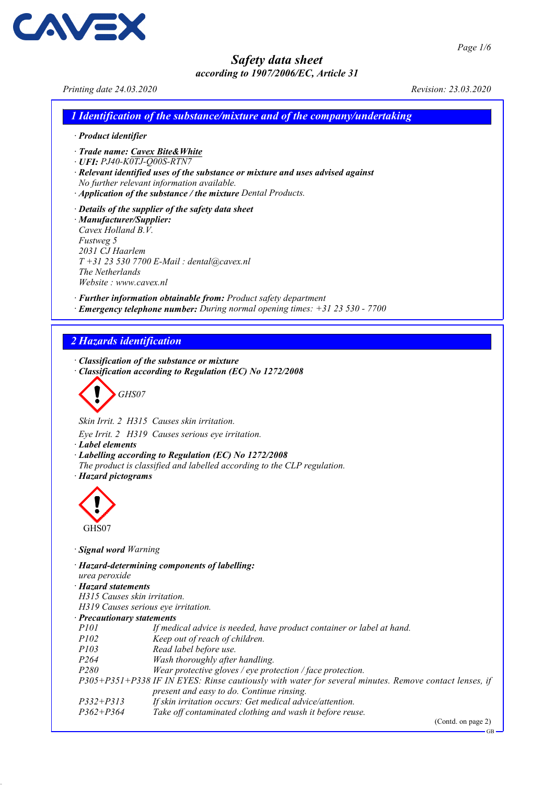Printing date 24.03.2020 Revision: 23.03.2020

**AVE** 

1 Identification of the substance/mixture and of the company/undertaking

- · Product identifier
- · Trade name: Cavex Bite&White
- · UFI: PJ40-K0TJ-Q00S-RTN7
- · Relevant identified uses of the substance or mixture and uses advised against
- No further relevant information available.
- · Application of the substance / the mixture Dental Products.
- · Details of the supplier of the safety data sheet · Manufacturer/Supplier: Cavex Holland B.V. Fustweg 5 2031 CJ Haarlem  $T + 31$  23 530 7700 E-Mail : dental@cavex.nl The Netherlands Website : www.cavex.nl

· Further information obtainable from: Product safety department

· Emergency telephone number: During normal opening times: +31 23 530 - 7700

## 2 Hazards identification

· Classification of the substance or mixture

· Classification according to Regulation (EC) No 1272/2008

$$
\bigotimes GHS07
$$

Skin Irrit. 2 H315 Causes skin irritation.

Eye Irrit. 2 H319 Causes serious eye irritation.

- · Label elements
- · Labelling according to Regulation (EC) No 1272/2008
- The product is classified and labelled according to the CLP regulation.
- · Hazard pictograms



#### · Signal word Warning

- · Hazard-determining components of labelling: urea peroxide · Hazard statements H315 Causes skin irritation. H319 Causes serious eye irritation. · **Precautionary statements**<br>P101 If med If medical advice is needed, have product container or label at hand. P102 Keep out of reach of children.<br>P103 Read label before use. Read label before use. P264 Wash thoroughly after handling. P280 Wear protective gloves / eye protection / face protection. P305+P351+P338 IF IN EYES: Rinse cautiously with water for several minutes. Remove contact lenses, if present and easy to do. Continue rinsing.
- P332+P313 If skin irritation occurs: Get medical advice/attention.<br>P362+P364 Take off contaminated clothing and wash it before reu Take off contaminated clothing and wash it before reuse.

(Contd. on page 2)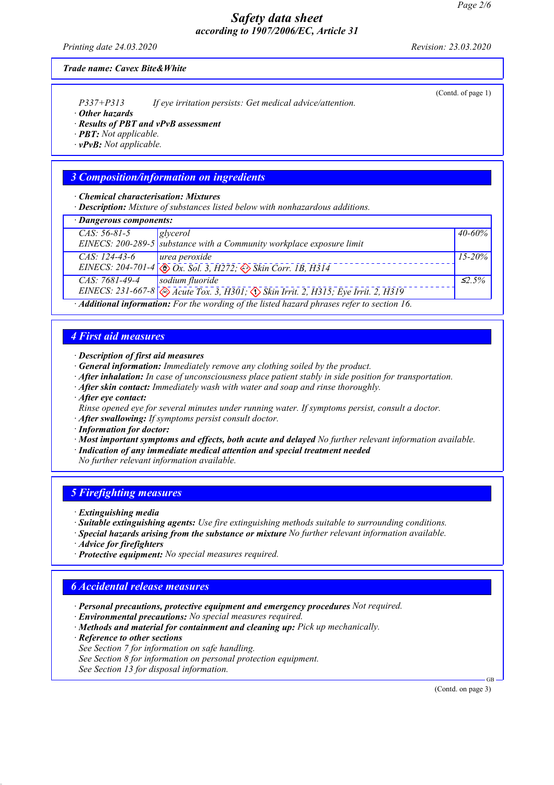Printing date 24.03.2020 Revision: 23.03.2020

(Contd. of page 1)

#### Trade name: Cavex Bite&White

P337+P313 If eye irritation persists: Get medical advice/attention.

· Other hazards

· Results of PBT and vPvB assessment

· PBT: Not applicable.

 $\cdot$  vPvB: Not applicable.

## 3 Composition/information on ingredients

· Chemical characterisation: Mixtures

· Description: Mixture of substances listed below with nonhazardous additions.

| · Dangerous components:                                                                                                                                 |                                                                                                   |              |  |  |
|---------------------------------------------------------------------------------------------------------------------------------------------------------|---------------------------------------------------------------------------------------------------|--------------|--|--|
| $CAS: 56-81-5$                                                                                                                                          | glycerol                                                                                          | 40-60%       |  |  |
|                                                                                                                                                         | EINECS: $200-289-5$ substance with a Community workplace exposure limit                           |              |  |  |
| $CAS: 124-43-6$                                                                                                                                         | $ $ urea peroxide                                                                                 | $15 - 20\%$  |  |  |
|                                                                                                                                                         | EINECS: 204-701-4 $\otimes$ Ox. Sol. 3, H272; $\otimes$ Skin Corr. 1B, H314                       |              |  |  |
| CAS: 7681-49-4                                                                                                                                          | sodium fluoride                                                                                   | $\leq 2.5\%$ |  |  |
|                                                                                                                                                         | EINECS: 231-667-8 $\otimes$ Acute Tox. 3, H301; $\otimes$ Skin Irrit. 2, H315; Eye Irrit. 2, H319 |              |  |  |
| $\Lambda JJL$ and $I_{\rm eff}$ and $I_{\rm eff}$ $E_{\rm eff}$ the coordinal $\Lambda J_{\rm eff}$ and $I_{\rm eff}$ and almost suffer to restrict the |                                                                                                   |              |  |  |

· Additional information: For the wording of the listed hazard phrases refer to section 16.

#### 4 First aid measures

· Description of first aid measures

- · General information: Immediately remove any clothing soiled by the product.
- · After inhalation: In case of unconsciousness place patient stably in side position for transportation.
- $\cdot$  After skin contact: Immediately wash with water and soap and rinse thoroughly.
- · After eye contact:
- Rinse opened eye for several minutes under running water. If symptoms persist, consult a doctor.
- · After swallowing: If symptoms persist consult doctor.
- · Information for doctor:
- · Most important symptoms and effects, both acute and delayed No further relevant information available.
- · Indication of any immediate medical attention and special treatment needed
- No further relevant information available.

## 5 Firefighting measures

- · Extinguishing media
- · Suitable extinguishing agents: Use fire extinguishing methods suitable to surrounding conditions.
- · Special hazards arising from the substance or mixture No further relevant information available.
- · Advice for firefighters
- · Protective equipment: No special measures required.

## 6 Accidental release measures

- · Personal precautions, protective equipment and emergency procedures Not required.
- · Environmental precautions: No special measures required.
- · Methods and material for containment and cleaning up: Pick up mechanically.
- · Reference to other sections
- See Section 7 for information on safe handling.
- See Section 8 for information on personal protection equipment.
- See Section 13 for disposal information.

(Contd. on page 3)

GB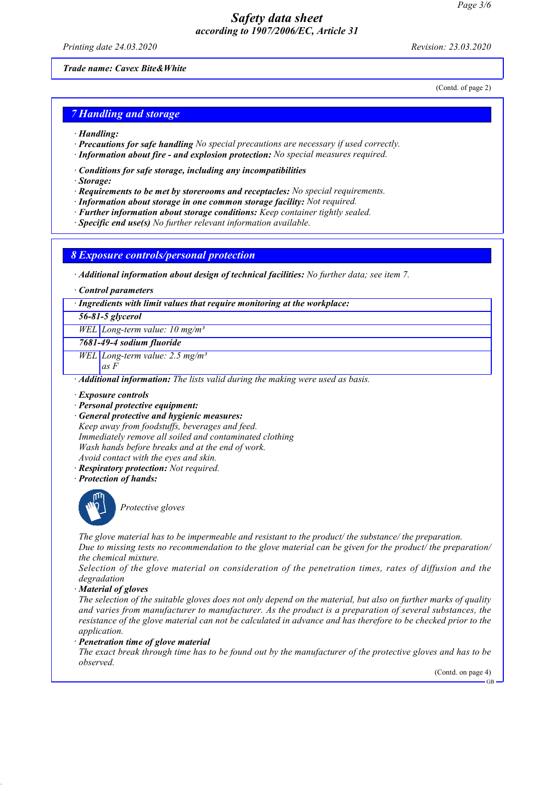Printing date 24.03.2020 Revision: 23.03.2020

(Contd. of page 2)

#### Trade name: Cavex Bite&White

## **7 Handling and storage**

- · Handling:
- · Precautions for safe handling No special precautions are necessary if used correctly.
- · Information about fire and explosion protection: No special measures required.
- · Conditions for safe storage, including any incompatibilities
- · Storage:
- · Requirements to be met by storerooms and receptacles: No special requirements.
- · Information about storage in one common storage facility: Not required.
- · Further information about storage conditions: Keep container tightly sealed.
- · Specific end use(s) No further relevant information available.

#### 8 Exposure controls/personal protection

· Additional information about design of technical facilities: No further data; see item 7.

· Control parameters

#### · Ingredients with limit values that require monitoring at the workplace:

56-81-5 glycerol

WEL Long-term value:  $10 \text{ mg/m}^3$ 

7681-49-4 sodium fluoride

WEL Long-term value:  $2.5$  mg/m<sup>3</sup>

as F

· Additional information: The lists valid during the making were used as basis.

- · Exposure controls
- · Personal protective equipment:
- · General protective and hygienic measures:

Keep away from foodstuffs, beverages and feed. Immediately remove all soiled and contaminated clothing Wash hands before breaks and at the end of work. Avoid contact with the eyes and skin.

- · Respiratory protection: Not required.
- · Protection of hands:



Protective gloves

The glove material has to be impermeable and resistant to the product/ the substance/ the preparation. Due to missing tests no recommendation to the glove material can be given for the product the preparation the chemical mixture.

Selection of the glove material on consideration of the penetration times, rates of diffusion and the degradation

· Material of gloves

The selection of the suitable gloves does not only depend on the material, but also on further marks of quality and varies from manufacturer to manufacturer. As the product is a preparation of several substances, the resistance of the glove material can not be calculated in advance and has therefore to be checked prior to the application.

· Penetration time of glove material

The exact break through time has to be found out by the manufacturer of the protective gloves and has to be observed.

(Contd. on page 4)

GB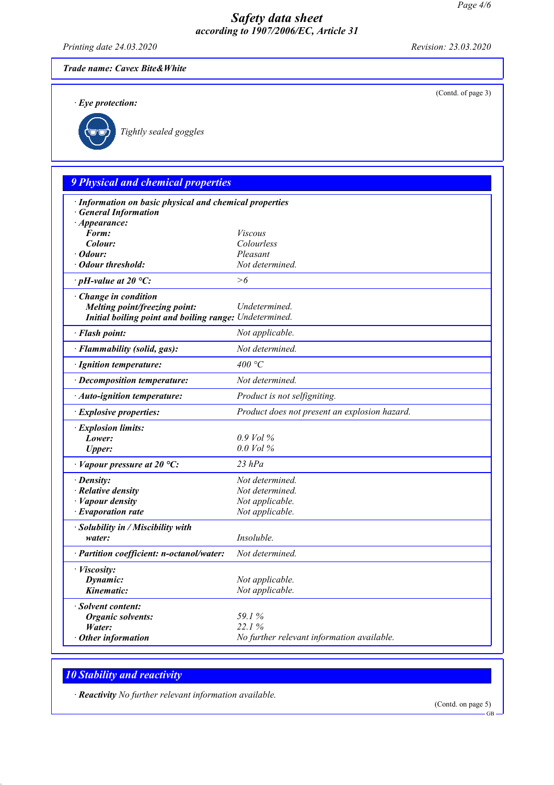Printing date 24.03.2020 Revision: 23.03.2020

(Contd. of page 3)

Trade name: Cavex Bite&White

· Eye protection:



Tightly sealed goggles

# 9 Physical and chemical properties

| $\cdot$ Appearance:<br>Form:<br><i>Viscous</i><br>Colour:<br>Colourless<br>Pleasant<br>· Odour:<br>· Odour threshold:<br>Not determined.<br>>6<br>$\cdot$ pH-value at 20 °C:<br>Change in condition<br>Undetermined.<br>Melting point/freezing point:<br>Initial boiling point and boiling range: Undetermined.<br>Not applicable.<br>· Flash point:<br>Not determined.<br>· Flammability (solid, gas):<br>400 $\degree$ C<br>· Ignition temperature:<br>Not determined.<br>· Decomposition temperature:<br>Product is not selfigniting.<br>· Auto-ignition temperature:<br>Product does not present an explosion hazard.<br><b>Explosive properties:</b><br>· Explosion limits:<br>$0.9$ Vol $\%$<br>Lower:<br>$0.0$ Vol $\%$<br><b>Upper:</b><br>$23$ hPa<br>$\cdot$ Vapour pressure at 20 °C:<br>Not determined.<br>$\cdot$ Density:<br>$\cdot$ Relative density<br>Not determined.<br>$\cdot$ <i>Vapour density</i><br>Not applicable.<br>$\cdot$ Evaporation rate<br>Not applicable.<br>· Solubility in / Miscibility with<br>Insoluble.<br>water:<br>Not determined.<br>· Partition coefficient: n-octanol/water:<br>· Viscosity:<br>Dynamic:<br>Not applicable.<br>Kinematic:<br>Not applicable.<br>· Solvent content:<br>59.1%<br><b>Organic solvents:</b><br>22.1%<br>Water: | · Information on basic physical and chemical properties |                                            |
|---------------------------------------------------------------------------------------------------------------------------------------------------------------------------------------------------------------------------------------------------------------------------------------------------------------------------------------------------------------------------------------------------------------------------------------------------------------------------------------------------------------------------------------------------------------------------------------------------------------------------------------------------------------------------------------------------------------------------------------------------------------------------------------------------------------------------------------------------------------------------------------------------------------------------------------------------------------------------------------------------------------------------------------------------------------------------------------------------------------------------------------------------------------------------------------------------------------------------------------------------------------------------------------|---------------------------------------------------------|--------------------------------------------|
|                                                                                                                                                                                                                                                                                                                                                                                                                                                                                                                                                                                                                                                                                                                                                                                                                                                                                                                                                                                                                                                                                                                                                                                                                                                                                       | <b>General Information</b>                              |                                            |
|                                                                                                                                                                                                                                                                                                                                                                                                                                                                                                                                                                                                                                                                                                                                                                                                                                                                                                                                                                                                                                                                                                                                                                                                                                                                                       |                                                         |                                            |
|                                                                                                                                                                                                                                                                                                                                                                                                                                                                                                                                                                                                                                                                                                                                                                                                                                                                                                                                                                                                                                                                                                                                                                                                                                                                                       |                                                         |                                            |
|                                                                                                                                                                                                                                                                                                                                                                                                                                                                                                                                                                                                                                                                                                                                                                                                                                                                                                                                                                                                                                                                                                                                                                                                                                                                                       |                                                         |                                            |
|                                                                                                                                                                                                                                                                                                                                                                                                                                                                                                                                                                                                                                                                                                                                                                                                                                                                                                                                                                                                                                                                                                                                                                                                                                                                                       |                                                         |                                            |
|                                                                                                                                                                                                                                                                                                                                                                                                                                                                                                                                                                                                                                                                                                                                                                                                                                                                                                                                                                                                                                                                                                                                                                                                                                                                                       |                                                         |                                            |
|                                                                                                                                                                                                                                                                                                                                                                                                                                                                                                                                                                                                                                                                                                                                                                                                                                                                                                                                                                                                                                                                                                                                                                                                                                                                                       |                                                         |                                            |
|                                                                                                                                                                                                                                                                                                                                                                                                                                                                                                                                                                                                                                                                                                                                                                                                                                                                                                                                                                                                                                                                                                                                                                                                                                                                                       |                                                         |                                            |
|                                                                                                                                                                                                                                                                                                                                                                                                                                                                                                                                                                                                                                                                                                                                                                                                                                                                                                                                                                                                                                                                                                                                                                                                                                                                                       |                                                         |                                            |
|                                                                                                                                                                                                                                                                                                                                                                                                                                                                                                                                                                                                                                                                                                                                                                                                                                                                                                                                                                                                                                                                                                                                                                                                                                                                                       |                                                         |                                            |
|                                                                                                                                                                                                                                                                                                                                                                                                                                                                                                                                                                                                                                                                                                                                                                                                                                                                                                                                                                                                                                                                                                                                                                                                                                                                                       |                                                         |                                            |
|                                                                                                                                                                                                                                                                                                                                                                                                                                                                                                                                                                                                                                                                                                                                                                                                                                                                                                                                                                                                                                                                                                                                                                                                                                                                                       |                                                         |                                            |
|                                                                                                                                                                                                                                                                                                                                                                                                                                                                                                                                                                                                                                                                                                                                                                                                                                                                                                                                                                                                                                                                                                                                                                                                                                                                                       |                                                         |                                            |
|                                                                                                                                                                                                                                                                                                                                                                                                                                                                                                                                                                                                                                                                                                                                                                                                                                                                                                                                                                                                                                                                                                                                                                                                                                                                                       |                                                         |                                            |
|                                                                                                                                                                                                                                                                                                                                                                                                                                                                                                                                                                                                                                                                                                                                                                                                                                                                                                                                                                                                                                                                                                                                                                                                                                                                                       |                                                         |                                            |
|                                                                                                                                                                                                                                                                                                                                                                                                                                                                                                                                                                                                                                                                                                                                                                                                                                                                                                                                                                                                                                                                                                                                                                                                                                                                                       |                                                         |                                            |
|                                                                                                                                                                                                                                                                                                                                                                                                                                                                                                                                                                                                                                                                                                                                                                                                                                                                                                                                                                                                                                                                                                                                                                                                                                                                                       |                                                         |                                            |
|                                                                                                                                                                                                                                                                                                                                                                                                                                                                                                                                                                                                                                                                                                                                                                                                                                                                                                                                                                                                                                                                                                                                                                                                                                                                                       |                                                         |                                            |
|                                                                                                                                                                                                                                                                                                                                                                                                                                                                                                                                                                                                                                                                                                                                                                                                                                                                                                                                                                                                                                                                                                                                                                                                                                                                                       |                                                         |                                            |
|                                                                                                                                                                                                                                                                                                                                                                                                                                                                                                                                                                                                                                                                                                                                                                                                                                                                                                                                                                                                                                                                                                                                                                                                                                                                                       |                                                         |                                            |
|                                                                                                                                                                                                                                                                                                                                                                                                                                                                                                                                                                                                                                                                                                                                                                                                                                                                                                                                                                                                                                                                                                                                                                                                                                                                                       |                                                         |                                            |
|                                                                                                                                                                                                                                                                                                                                                                                                                                                                                                                                                                                                                                                                                                                                                                                                                                                                                                                                                                                                                                                                                                                                                                                                                                                                                       |                                                         |                                            |
|                                                                                                                                                                                                                                                                                                                                                                                                                                                                                                                                                                                                                                                                                                                                                                                                                                                                                                                                                                                                                                                                                                                                                                                                                                                                                       |                                                         |                                            |
|                                                                                                                                                                                                                                                                                                                                                                                                                                                                                                                                                                                                                                                                                                                                                                                                                                                                                                                                                                                                                                                                                                                                                                                                                                                                                       |                                                         |                                            |
|                                                                                                                                                                                                                                                                                                                                                                                                                                                                                                                                                                                                                                                                                                                                                                                                                                                                                                                                                                                                                                                                                                                                                                                                                                                                                       |                                                         |                                            |
|                                                                                                                                                                                                                                                                                                                                                                                                                                                                                                                                                                                                                                                                                                                                                                                                                                                                                                                                                                                                                                                                                                                                                                                                                                                                                       |                                                         |                                            |
|                                                                                                                                                                                                                                                                                                                                                                                                                                                                                                                                                                                                                                                                                                                                                                                                                                                                                                                                                                                                                                                                                                                                                                                                                                                                                       |                                                         |                                            |
|                                                                                                                                                                                                                                                                                                                                                                                                                                                                                                                                                                                                                                                                                                                                                                                                                                                                                                                                                                                                                                                                                                                                                                                                                                                                                       |                                                         |                                            |
|                                                                                                                                                                                                                                                                                                                                                                                                                                                                                                                                                                                                                                                                                                                                                                                                                                                                                                                                                                                                                                                                                                                                                                                                                                                                                       |                                                         |                                            |
|                                                                                                                                                                                                                                                                                                                                                                                                                                                                                                                                                                                                                                                                                                                                                                                                                                                                                                                                                                                                                                                                                                                                                                                                                                                                                       |                                                         |                                            |
|                                                                                                                                                                                                                                                                                                                                                                                                                                                                                                                                                                                                                                                                                                                                                                                                                                                                                                                                                                                                                                                                                                                                                                                                                                                                                       |                                                         |                                            |
|                                                                                                                                                                                                                                                                                                                                                                                                                                                                                                                                                                                                                                                                                                                                                                                                                                                                                                                                                                                                                                                                                                                                                                                                                                                                                       |                                                         |                                            |
|                                                                                                                                                                                                                                                                                                                                                                                                                                                                                                                                                                                                                                                                                                                                                                                                                                                                                                                                                                                                                                                                                                                                                                                                                                                                                       | $\cdot$ Other information                               | No further relevant information available. |

## 10 Stability and reactivity

· Reactivity No further relevant information available.

(Contd. on page 5)

GB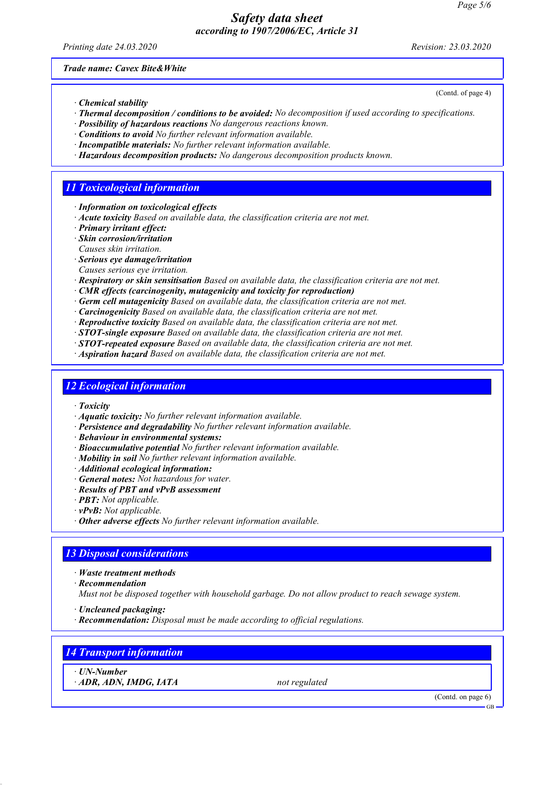Printing date 24.03.2020 Revision: 23.03.2020

(Contd. of page 4)

Trade name: Cavex Bite&White

- · Chemical stability
- · Thermal decomposition / conditions to be avoided: No decomposition if used according to specifications.
- · Possibility of hazardous reactions No dangerous reactions known.
- · Conditions to avoid No further relevant information available.
- · Incompatible materials: No further relevant information available.
- · Hazardous decomposition products: No dangerous decomposition products known.

## 11 Toxicological information

- · Information on toxicological effects
- · Acute toxicity Based on available data, the classification criteria are not met.
- · Primary irritant effect:
- · Skin corrosion/irritation
- Causes skin irritation.
- · Serious eye damage/irritation
- Causes serious eye irritation.
- · Respiratory or skin sensitisation Based on available data, the classification criteria are not met.
- · CMR effects (carcinogenity, mutagenicity and toxicity for reproduction)
- · Germ cell mutagenicity Based on available data, the classification criteria are not met.
- · Carcinogenicity Based on available data, the classification criteria are not met.
- · Reproductive toxicity Based on available data, the classification criteria are not met.
- · STOT-single exposure Based on available data, the classification criteria are not met.
- $\cdot$  **STOT-repeated exposure** Based on available data, the classification criteria are not met.
- · Aspiration hazard Based on available data, the classification criteria are not met.

## 12 Ecological information

- · Toxicity
- · Aquatic toxicity: No further relevant information available.
- · Persistence and degradability No further relevant information available.
- · Behaviour in environmental systems:
- · Bioaccumulative potential No further relevant information available.
- $\cdot$  **Mobility in soil** No further relevant information available.
- · Additional ecological information:
- $\cdot$  General notes: Not hazardous for water.
- · Results of PBT and vPvB assessment
- · PBT: Not applicable.
- · vPvB: Not applicable.
- · Other adverse effects No further relevant information available.

## 13 Disposal considerations

- · Waste treatment methods
- · Recommendation

Must not be disposed together with household garbage. Do not allow product to reach sewage system.

- · Uncleaned packaging:
- · Recommendation: Disposal must be made according to official regulations.

## 14 Transport information

· UN-Number

 $\cdot$  ADR, ADN, IMDG, IATA not regulated

(Contd. on page 6)

GB